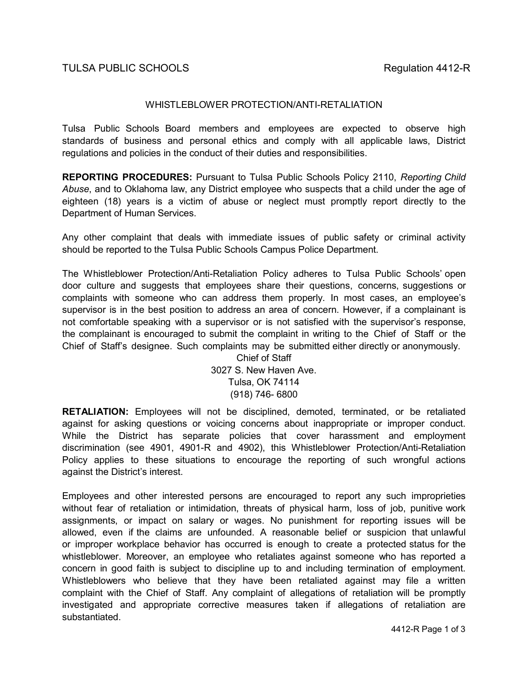## WHISTLEBLOWER PROTECTION/ANTI-RETALIATION

Tulsa Public Schools Board members and employees are expected to observe high standards of business and personal ethics and comply with all applicable laws, District regulations and policies in the conduct of their duties and responsibilities.

**REPORTING PROCEDURES:** Pursuant to Tulsa Public Schools Policy 2110, *Reporting Child Abuse*, and to Oklahoma law, any District employee who suspects that a child under the age of eighteen (18) years is a victim of abuse or neglect must promptly report directly to the Department of Human Services.

Any other complaint that deals with immediate issues of public safety or criminal activity should be reported to the Tulsa Public Schools Campus Police Department.

The Whistleblower Protection/Anti-Retaliation Policy adheres to Tulsa Public Schools' open door culture and suggests that employees share their questions, concerns, suggestions or complaints with someone who can address them properly. In most cases, an employee's supervisor is in the best position to address an area of concern. However, if a complainant is not comfortable speaking with a supervisor or is not satisfied with the supervisor's response, the complainant is encouraged to submit the complaint in writing to the Chief of Staff or the Chief of Staff's designee. Such complaints may be submitted either directly or anonymously.

Chief of Staff 3027 S. New Haven Ave. Tulsa, OK 74114 (918) 746- 6800

**RETALIATION:** Employees will not be disciplined, demoted, terminated, or be retaliated against for asking questions or voicing concerns about inappropriate or improper conduct. While the District has separate policies that cover harassment and employment discrimination (see 4901, 4901-R and 4902), this Whistleblower Protection/Anti-Retaliation Policy applies to these situations to encourage the reporting of such wrongful actions against the District's interest.

Employees and other interested persons are encouraged to report any such improprieties without fear of retaliation or intimidation, threats of physical harm, loss of job, punitive work assignments, or impact on salary or wages. No punishment for reporting issues will be allowed, even if the claims are unfounded. A reasonable belief or suspicion that unlawful or improper workplace behavior has occurred is enough to create a protected status for the whistleblower. Moreover, an employee who retaliates against someone who has reported a concern in good faith is subject to discipline up to and including termination of employment. Whistleblowers who believe that they have been retaliated against may file a written complaint with the Chief of Staff. Any complaint of allegations of retaliation will be promptly investigated and appropriate corrective measures taken if allegations of retaliation are substantiated.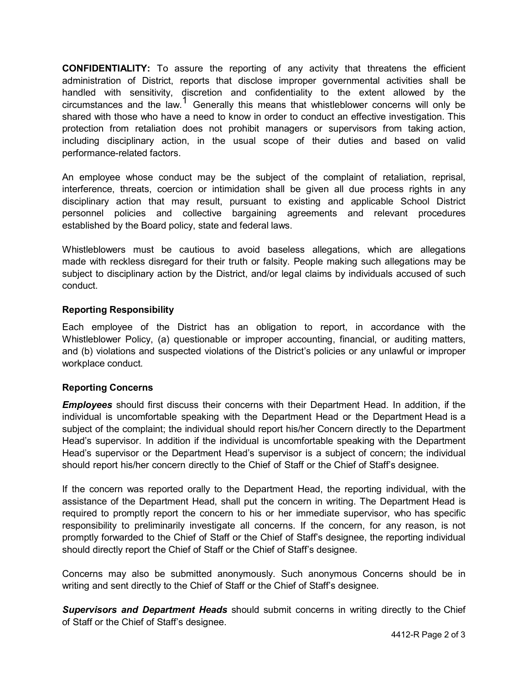**CONFIDENTIALITY:** To assure the reporting of any activity that threatens the efficient administration of District, reports that disclose improper governmental activities shall be handled with sensitivity, discretion and confidentiality to the extent allowed by the circumstances and the law.<sup>1</sup> Generally this means that whistleblower concerns will only be shared with those who have a need to know in order to conduct an effective investigation. This protection from retaliation does not prohibit managers or supervisors from taking action, including disciplinary action, in the usual scope of their duties and based on valid performance-related factors.

An employee whose conduct may be the subject of the complaint of retaliation, reprisal, interference, threats, coercion or intimidation shall be given all due process rights in any disciplinary action that may result, pursuant to existing and applicable School District personnel policies and collective bargaining agreements and relevant procedures established by the Board policy, state and federal laws.

Whistleblowers must be cautious to avoid baseless allegations, which are allegations made with reckless disregard for their truth or falsity. People making such allegations may be subject to disciplinary action by the District, and/or legal claims by individuals accused of such conduct.

# **Reporting Responsibility**

Each employee of the District has an obligation to report, in accordance with the Whistleblower Policy, (a) questionable or improper accounting, financial, or auditing matters, and (b) violations and suspected violations of the District's policies or any unlawful or improper workplace conduct.

# **Reporting Concerns**

*Employees* should first discuss their concerns with their Department Head. In addition, if the individual is uncomfortable speaking with the Department Head or the Department Head is a subject of the complaint; the individual should report his/her Concern directly to the Department Head's supervisor. In addition if the individual is uncomfortable speaking with the Department Head's supervisor or the Department Head's supervisor is a subject of concern; the individual should report his/her concern directly to the Chief of Staff or the Chief of Staff's designee.

If the concern was reported orally to the Department Head, the reporting individual, with the assistance of the Department Head, shall put the concern in writing. The Department Head is required to promptly report the concern to his or her immediate supervisor, who has specific responsibility to preliminarily investigate all concerns. If the concern, for any reason, is not promptly forwarded to the Chief of Staff or the Chief of Staff's designee, the reporting individual should directly report the Chief of Staff or the Chief of Staff's designee.

Concerns may also be submitted anonymously. Such anonymous Concerns should be in writing and sent directly to the Chief of Staff or the Chief of Staff's designee.

*Supervisors and Department Heads* should submit concerns in writing directly to the Chief of Staff or the Chief of Staff's designee.